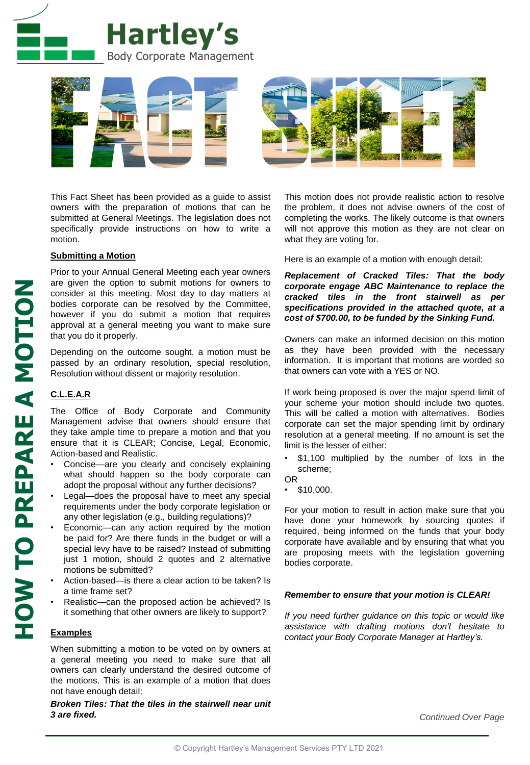



This Fact Sheet has been provided as a guide to assist owners with the preparation of motions that can be submitted at General Meetings. The legislation does not specifically provide instructions on how to write a motion.

### **Submitting a Motion**

Prior to your Annual General Meeting each year owners are given the option to submit motions for owners to consider at this meeting. Most day to day matters at bodies corporate can be resolved by the Committee, however if you do submit a motion that requires approval at a general meeting you want to make sure that you do it properly.

Depending on the outcome sought, a motion must be passed by an ordinary resolution, special resolution, Resolution without dissent or majority resolution.

## **C.L.E.A.R**

The Office of Body Corporate and Community Management advise that owners should ensure that they take ample time to prepare a motion and that you ensure that it is CLEAR; Concise, Legal, Economic, Action-based and Realistic.

- Concise—are you clearly and concisely explaining what should happen so the body corporate can adopt the proposal without any further decisions?
- Legal-does the proposal have to meet any special requirements under the body corporate legislation or any other legislation (e.g., building regulations)?
- Economic—can any action required by the motion be paid for? Are there funds in the budget or will a special levy have to be raised? Instead of submitting just 1 motion, should 2 quotes and 2 alternative motions be submitted?
- Action-based—is there a clear action to be taken? Is a time frame set?
- Realistic—can the proposed action be achieved? Is it something that other owners are likely to support?

#### **Examples**

When submitting a motion to be voted on by owners at a general meeting you need to make sure that all owners can clearly understand the desired outcome of the motions. This is an example of a motion that does not have enough detail:

#### *Broken Tiles: That the tiles in the stairwell near unit 3 are fixed.*

This motion does not provide realistic action to resolve the problem, it does not advise owners of the cost of completing the works. The likely outcome is that owners will not approve this motion as they are not clear on what they are voting for.

Here is an example of a motion with enough detail:

*Replacement of Cracked Tiles: That the body corporate engage ABC Maintenance to replace the cracked tiles in the front stairwell as per specifications provided in the attached quote, at a cost of \$700.00, to be funded by the Sinking Fund.*

Owners can make an informed decision on this motion as they have been provided with the necessary information. It is important that motions are worded so that owners can vote with a YES or NO.

If work being proposed is over the major spend limit of your scheme your motion should include two quotes. This will be called a motion with alternatives. Bodies corporate can set the major spending limit by ordinary resolution at a general meeting. If no amount is set the limit is the lesser of either:

- \$1,100 multiplied by the number of lots in the scheme;
- OR
- $\cdot$  \$10,000.

For your motion to result in action make sure that you have done your homework by sourcing quotes if required, being informed on the funds that your body corporate have available and by ensuring that what you are proposing meets with the legislation governing bodies corporate.

#### *Remember to ensure that your motion is CLEAR!*

*If you need further guidance on this topic or would like assistance with drafting motions don't hesitate to contact your Body Corporate Manager at Hartley's.*

*Continued Over Page*